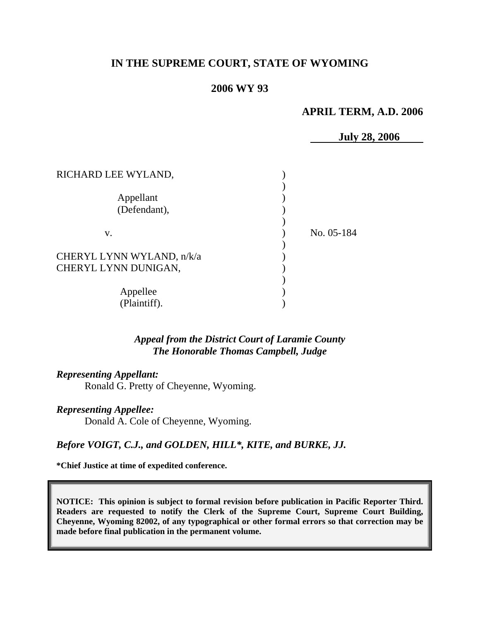## **IN THE SUPREME COURT, STATE OF WYOMING**

## **2006 WY 93**

## **APRIL TERM, A.D. 2006**

|                           | <b>July 28, 2006</b> |
|---------------------------|----------------------|
|                           |                      |
| RICHARD LEE WYLAND,       |                      |
|                           |                      |
| Appellant                 |                      |
| (Defendant),              |                      |
|                           |                      |
| V.                        | No. 05-184           |
|                           |                      |
| CHERYL LYNN WYLAND, n/k/a |                      |
| CHERYL LYNN DUNIGAN,      |                      |
|                           |                      |
| Appellee                  |                      |
| (Plaintiff).              |                      |

*Appeal from the District Court of Laramie County The Honorable Thomas Campbell, Judge* 

*Representing Appellant:* Ronald G. Pretty of Cheyenne, Wyoming.

*Representing Appellee:* Donald A. Cole of Cheyenne, Wyoming.

*Before VOIGT, C.J., and GOLDEN, HILL\*, KITE, and BURKE, JJ.* 

**\*Chief Justice at time of expedited conference.** 

**NOTICE: This opinion is subject to formal revision before publication in Pacific Reporter Third. Readers are requested to notify the Clerk of the Supreme Court, Supreme Court Building, Cheyenne, Wyoming 82002, of any typographical or other formal errors so that correction may be made before final publication in the permanent volume.**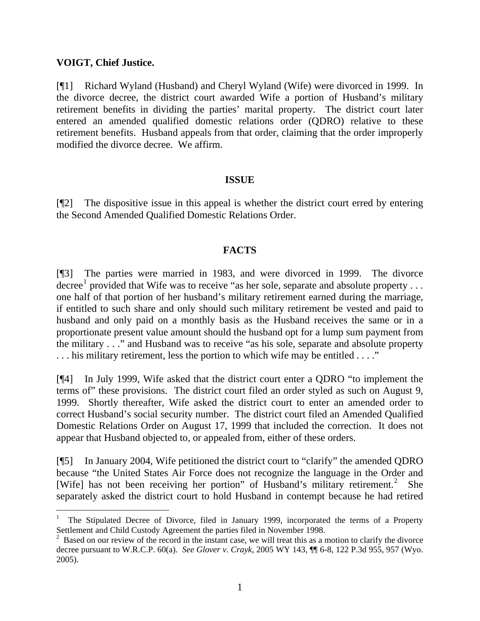## **VOIGT, Chief Justice.**

[¶1] Richard Wyland (Husband) and Cheryl Wyland (Wife) were divorced in 1999. In the divorce decree, the district court awarded Wife a portion of Husband's military retirement benefits in dividing the parties' marital property. The district court later entered an amended qualified domestic relations order (QDRO) relative to these retirement benefits. Husband appeals from that order, claiming that the order improperly modified the divorce decree. We affirm.

#### **ISSUE**

[¶2] The dispositive issue in this appeal is whether the district court erred by entering the Second Amended Qualified Domestic Relations Order.

## **FACTS**

[¶3] The parties were married in 1983, and were divorced in 1999. The divorce decree<sup>[1](#page-1-0)</sup> provided that Wife was to receive "as her sole, separate and absolute property ... one half of that portion of her husband's military retirement earned during the marriage, if entitled to such share and only should such military retirement be vested and paid to husband and only paid on a monthly basis as the Husband receives the same or in a proportionate present value amount should the husband opt for a lump sum payment from the military . . ." and Husband was to receive "as his sole, separate and absolute property . . . his military retirement, less the portion to which wife may be entitled . . . ."

[¶4] In July 1999, Wife asked that the district court enter a QDRO "to implement the terms of" these provisions. The district court filed an order styled as such on August 9, 1999. Shortly thereafter, Wife asked the district court to enter an amended order to correct Husband's social security number. The district court filed an Amended Qualified Domestic Relations Order on August 17, 1999 that included the correction. It does not appear that Husband objected to, or appealed from, either of these orders.

[¶5] In January 2004, Wife petitioned the district court to "clarify" the amended QDRO because "the United States Air Force does not recognize the language in the Order and [Wife] has not been receiving her portion" of Husband's military retirement.<sup>[2](#page-1-1)</sup> She separately asked the district court to hold Husband in contempt because he had retired

<span id="page-1-0"></span><sup>1</sup> The Stipulated Decree of Divorce, filed in January 1999, incorporated the terms of a Property Settlement and Child Custody Agreement the parties filed in November 1998.

<span id="page-1-1"></span> $2$  Based on our review of the record in the instant case, we will treat this as a motion to clarify the divorce decree pursuant to W.R.C.P. 60(a). *See Glover v. Crayk*, 2005 WY 143, ¶¶ 6-8, 122 P.3d 955, 957 (Wyo. 2005).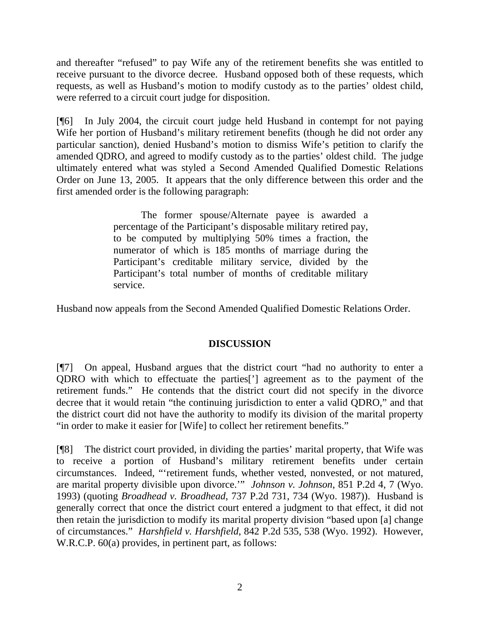and thereafter "refused" to pay Wife any of the retirement benefits she was entitled to receive pursuant to the divorce decree. Husband opposed both of these requests, which requests, as well as Husband's motion to modify custody as to the parties' oldest child, were referred to a circuit court judge for disposition.

[¶6] In July 2004, the circuit court judge held Husband in contempt for not paying Wife her portion of Husband's military retirement benefits (though he did not order any particular sanction), denied Husband's motion to dismiss Wife's petition to clarify the amended QDRO, and agreed to modify custody as to the parties' oldest child. The judge ultimately entered what was styled a Second Amended Qualified Domestic Relations Order on June 13, 2005. It appears that the only difference between this order and the first amended order is the following paragraph:

> The former spouse/Alternate payee is awarded a percentage of the Participant's disposable military retired pay, to be computed by multiplying 50% times a fraction, the numerator of which is 185 months of marriage during the Participant's creditable military service, divided by the Participant's total number of months of creditable military service.

Husband now appeals from the Second Amended Qualified Domestic Relations Order.

# **DISCUSSION**

[¶7] On appeal, Husband argues that the district court "had no authority to enter a QDRO with which to effectuate the parties['] agreement as to the payment of the retirement funds." He contends that the district court did not specify in the divorce decree that it would retain "the continuing jurisdiction to enter a valid QDRO," and that the district court did not have the authority to modify its division of the marital property "in order to make it easier for [Wife] to collect her retirement benefits."

[¶8] The district court provided, in dividing the parties' marital property, that Wife was to receive a portion of Husband's military retirement benefits under certain circumstances. Indeed, "'retirement funds, whether vested, nonvested, or not matured, are marital property divisible upon divorce.'" *Johnson v. Johnson*, 851 P.2d 4, 7 (Wyo. 1993) (quoting *Broadhead v. Broadhead*, 737 P.2d 731, 734 (Wyo. 1987)). Husband is generally correct that once the district court entered a judgment to that effect, it did not then retain the jurisdiction to modify its marital property division "based upon [a] change of circumstances." *Harshfield v. Harshfield*, 842 P.2d 535, 538 (Wyo. 1992). However, W.R.C.P. 60(a) provides, in pertinent part, as follows: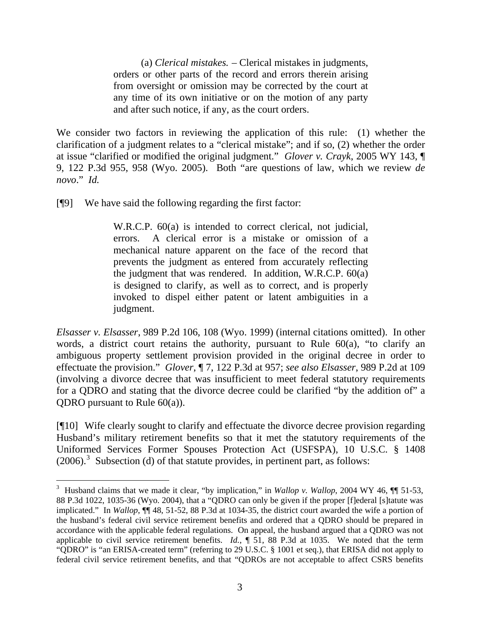(a) *Clerical mistakes.* – Clerical mistakes in judgments, orders or other parts of the record and errors therein arising from oversight or omission may be corrected by the court at any time of its own initiative or on the motion of any party and after such notice, if any, as the court orders.

We consider two factors in reviewing the application of this rule: (1) whether the clarification of a judgment relates to a "clerical mistake"; and if so, (2) whether the order at issue "clarified or modified the original judgment." *Glover v. Crayk*, 2005 WY 143, ¶ 9, 122 P.3d 955, 958 (Wyo. 2005). Both "are questions of law, which we review *de novo*." *Id.*

[¶9] We have said the following regarding the first factor:

 $\overline{a}$ 

W.R.C.P. 60(a) is intended to correct clerical, not judicial, errors. A clerical error is a mistake or omission of a mechanical nature apparent on the face of the record that prevents the judgment as entered from accurately reflecting the judgment that was rendered. In addition, W.R.C.P. 60(a) is designed to clarify, as well as to correct, and is properly invoked to dispel either patent or latent ambiguities in a judgment.

*Elsasser v. Elsasser*, 989 P.2d 106, 108 (Wyo. 1999) (internal citations omitted). In other words, a district court retains the authority, pursuant to Rule 60(a), "to clarify an ambiguous property settlement provision provided in the original decree in order to effectuate the provision." *Glover*, ¶ 7, 122 P.3d at 957; *see also Elsasser*, 989 P.2d at 109 (involving a divorce decree that was insufficient to meet federal statutory requirements for a QDRO and stating that the divorce decree could be clarified "by the addition of" a QDRO pursuant to Rule  $60(a)$ ).

[¶10] Wife clearly sought to clarify and effectuate the divorce decree provision regarding Husband's military retirement benefits so that it met the statutory requirements of the Uniformed Services Former Spouses Protection Act (USFSPA), 10 U.S.C. § 1408  $(2006).$ <sup>[3](#page-3-0)</sup> Subsection (d) of that statute provides, in pertinent part, as follows:

<span id="page-3-0"></span><sup>&</sup>lt;sup>3</sup> Husband claims that we made it clear, "by implication," in *Wallop v. Wallop*, 2004 WY 46,  $\P$  51-53, 88 P.3d 1022, 1035-36 (Wyo. 2004), that a "QDRO can only be given if the proper [f]ederal [s]tatute was implicated." In *Wallop*, ¶¶ 48, 51-52, 88 P.3d at 1034-35, the district court awarded the wife a portion of the husband's federal civil service retirement benefits and ordered that a QDRO should be prepared in accordance with the applicable federal regulations. On appeal, the husband argued that a QDRO was not applicable to civil service retirement benefits. *Id.*, ¶ 51, 88 P.3d at 1035. We noted that the term "QDRO" is "an ERISA-created term" (referring to 29 U.S.C. § 1001 et seq.), that ERISA did not apply to federal civil service retirement benefits, and that "QDROs are not acceptable to affect CSRS benefits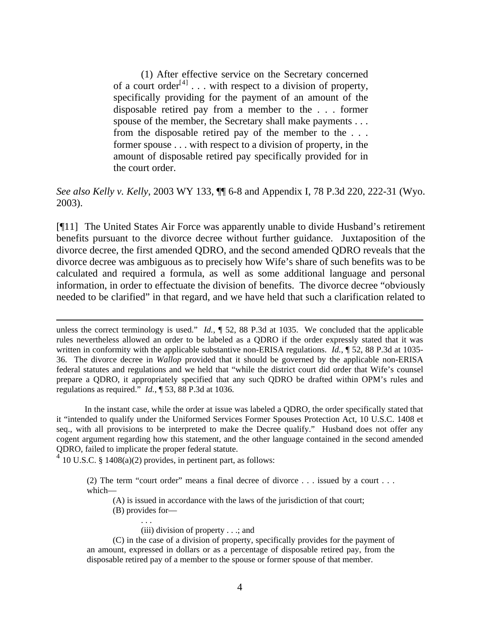(1) After effective service on the Secretary concerned of a court order<sup>[4]</sup>  $\ldots$  with respect to a division of property, specifically providing for the payment of an amount of the disposable retired pay from a member to the . . . former spouse of the member, the Secretary shall make payments . . . from the disposable retired pay of the member to the . . . former spouse . . . with respect to a division of property, in the amount of disposable retired pay specifically provided for in the court order.

## *See also Kelly v. Kelly*, 2003 WY 133, ¶¶ 6-8 and Appendix I, 78 P.3d 220, 222-31 (Wyo. 2003).

[¶11] The United States Air Force was apparently unable to divide Husband's retirement benefits pursuant to the divorce decree without further guidance. Juxtaposition of the divorce decree, the first amended QDRO, and the second amended QDRO reveals that the divorce decree was ambiguous as to precisely how Wife's share of such benefits was to be calculated and required a formula, as well as some additional language and personal information, in order to effectuate the division of benefits. The divorce decree "obviously needed to be clarified" in that regard, and we have held that such a clarification related to

unless the correct terminology is used." *Id.*, ¶ 52, 88 P.3d at 1035. We concluded that the applicable rules nevertheless allowed an order to be labeled as a QDRO if the order expressly stated that it was written in conformity with the applicable substantive non-ERISA regulations. *Id.*, ¶ 52, 88 P.3d at 1035-36. The divorce decree in *Wallop* provided that it should be governed by the applicable non-ERISA federal statutes and regulations and we held that "while the district court did order that Wife's counsel prepare a QDRO, it appropriately specified that any such QDRO be drafted within OPM's rules and regulations as required." *Id.*, ¶ 53, 88 P.3d at 1036.

In the instant case, while the order at issue was labeled a QDRO, the order specifically stated that it "intended to qualify under the Uniformed Services Former Spouses Protection Act, 10 U.S.C. 1408 et seq., with all provisions to be interpreted to make the Decree qualify." Husband does not offer any cogent argument regarding how this statement, and the other language contained in the second amended QDRO, failed to implicate the proper federal statute.

<span id="page-4-0"></span> $4\overline{10}$  U.S.C. § 1408(a)(2) provides, in pertinent part, as follows:

(2) The term "court order" means a final decree of divorce . . . issued by a court . . . which—

(A) is issued in accordance with the laws of the jurisdiction of that court;

(B) provides for—

 $\overline{a}$ 

 . . . (iii) division of property . . .; and

 (C) in the case of a division of property, specifically provides for the payment of an amount, expressed in dollars or as a percentage of disposable retired pay, from the disposable retired pay of a member to the spouse or former spouse of that member.